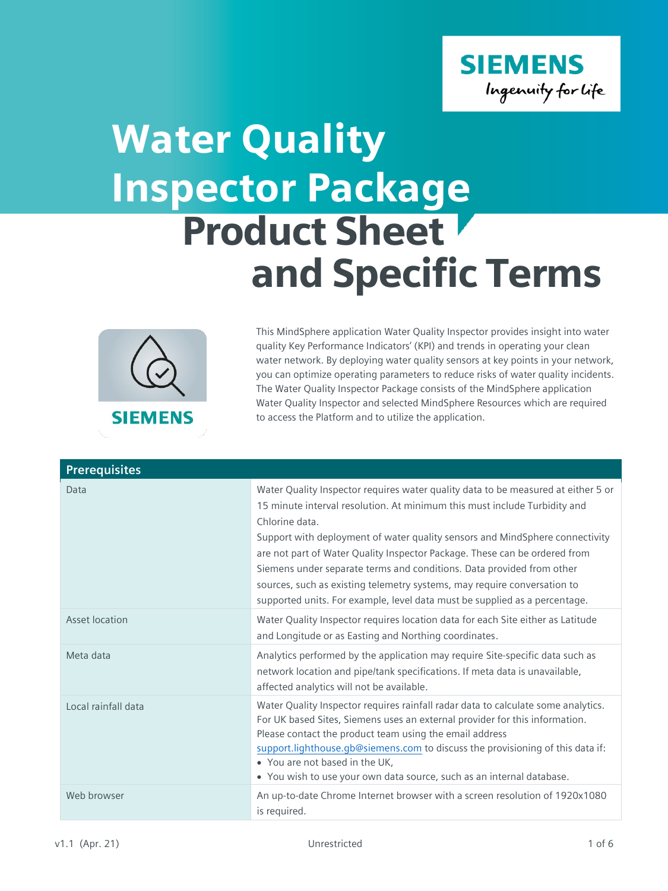

## Product Sheet and Specific Terms Water Quality Inspector Package



This MindSphere application Water Quality Inspector provides insight into water quality Key Performance Indicators' (KPI) and trends in operating your clean water network. By deploying water quality sensors at key points in your network, you can optimize operating parameters to reduce risks of water quality incidents. The Water Quality Inspector Package consists of the MindSphere application Water Quality Inspector and selected MindSphere Resources which are required to access the Platform and to utilize the application.

| <b>Prerequisites</b> |                                                                                                                                                                                                                                                                                                                                                                                                                                                                                                                                                                                   |
|----------------------|-----------------------------------------------------------------------------------------------------------------------------------------------------------------------------------------------------------------------------------------------------------------------------------------------------------------------------------------------------------------------------------------------------------------------------------------------------------------------------------------------------------------------------------------------------------------------------------|
| Data                 | Water Quality Inspector requires water quality data to be measured at either 5 or<br>15 minute interval resolution. At minimum this must include Turbidity and<br>Chlorine data.<br>Support with deployment of water quality sensors and MindSphere connectivity<br>are not part of Water Quality Inspector Package. These can be ordered from<br>Siemens under separate terms and conditions. Data provided from other<br>sources, such as existing telemetry systems, may require conversation to<br>supported units. For example, level data must be supplied as a percentage. |
| Asset location       | Water Quality Inspector requires location data for each Site either as Latitude<br>and Longitude or as Easting and Northing coordinates.                                                                                                                                                                                                                                                                                                                                                                                                                                          |
| Meta data            | Analytics performed by the application may require Site-specific data such as<br>network location and pipe/tank specifications. If meta data is unavailable,<br>affected analytics will not be available.                                                                                                                                                                                                                                                                                                                                                                         |
| Local rainfall data  | Water Quality Inspector requires rainfall radar data to calculate some analytics.<br>For UK based Sites, Siemens uses an external provider for this information.<br>Please contact the product team using the email address<br>support.lighthouse.gb@siemens.com to discuss the provisioning of this data if:<br>• You are not based in the UK,<br>• You wish to use your own data source, such as an internal database.                                                                                                                                                          |
| Web browser          | An up-to-date Chrome Internet browser with a screen resolution of 1920x1080<br>is required.                                                                                                                                                                                                                                                                                                                                                                                                                                                                                       |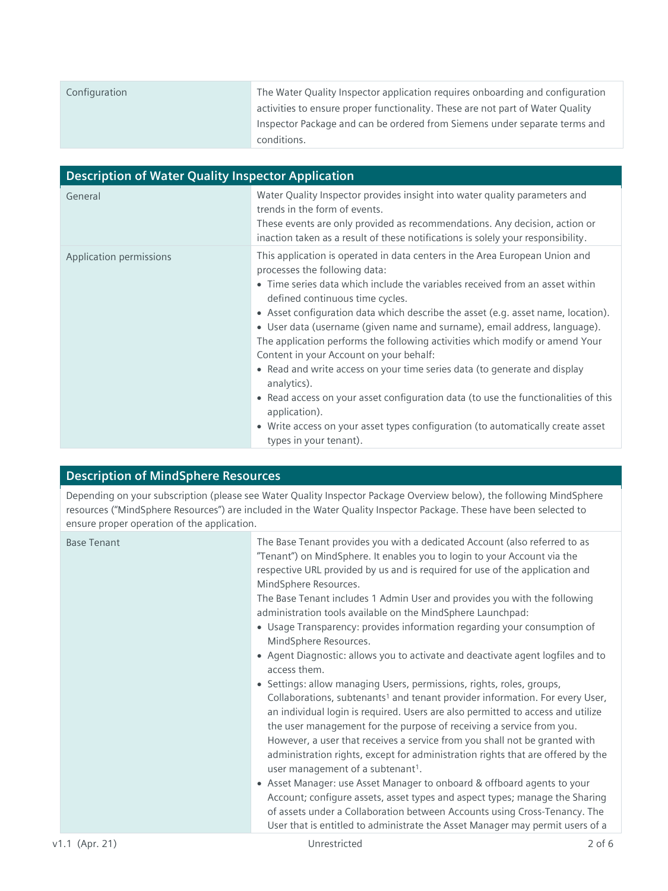| Configuration | The Water Quality Inspector application requires onboarding and configuration  |
|---------------|--------------------------------------------------------------------------------|
|               | activities to ensure proper functionality. These are not part of Water Quality |
|               | Inspector Package and can be ordered from Siemens under separate terms and     |
|               | conditions.                                                                    |

| <b>Description of Water Quality Inspector Application</b> |                                                                                                                                                                                                                                                                                                                                                                                                                                                                                                                                                                                                                                                                                                                                                                                                                                             |  |
|-----------------------------------------------------------|---------------------------------------------------------------------------------------------------------------------------------------------------------------------------------------------------------------------------------------------------------------------------------------------------------------------------------------------------------------------------------------------------------------------------------------------------------------------------------------------------------------------------------------------------------------------------------------------------------------------------------------------------------------------------------------------------------------------------------------------------------------------------------------------------------------------------------------------|--|
| General                                                   | Water Quality Inspector provides insight into water quality parameters and<br>trends in the form of events.<br>These events are only provided as recommendations. Any decision, action or<br>inaction taken as a result of these notifications is solely your responsibility.                                                                                                                                                                                                                                                                                                                                                                                                                                                                                                                                                               |  |
| Application permissions                                   | This application is operated in data centers in the Area European Union and<br>processes the following data:<br>• Time series data which include the variables received from an asset within<br>defined continuous time cycles.<br>• Asset configuration data which describe the asset (e.g. asset name, location).<br>• User data (username (given name and surname), email address, language).<br>The application performs the following activities which modify or amend Your<br>Content in your Account on your behalf:<br>• Read and write access on your time series data (to generate and display<br>analytics).<br>• Read access on your asset configuration data (to use the functionalities of this<br>application).<br>• Write access on your asset types configuration (to automatically create asset<br>types in your tenant). |  |

## **Description of MindSphere Resources**

Depending on your subscription (please see Water Quality Inspector Package Overview below), the following MindSphere resources ("MindSphere Resources") are included in the Water Quality Inspector Package. These have been selected to ensure proper operation of the application.

| administration tools available on the MindSphere Launchpad:<br>• Usage Transparency: provides information regarding your consumption of<br>MindSphere Resources.<br>• Agent Diagnostic: allows you to activate and deactivate agent logfiles and to<br>access them.<br>Settings: allow managing Users, permissions, rights, roles, groups,<br>Collaborations, subtenants <sup>1</sup> and tenant provider information. For every User,<br>an individual login is required. Users are also permitted to access and utilize<br>the user management for the purpose of receiving a service from you.<br>However, a user that receives a service from you shall not be granted with<br>administration rights, except for administration rights that are offered by the<br>user management of a subtenant <sup>1</sup> .<br>• Asset Manager: use Asset Manager to onboard & offboard agents to your<br>Account; configure assets, asset types and aspect types; manage the Sharing<br>of assets under a Collaboration between Accounts using Cross-Tenancy. The<br>User that is entitled to administrate the Asset Manager may permit users of a | <b>Base Tenant</b> | The Base Tenant provides you with a dedicated Account (also referred to as<br>"Tenant") on MindSphere. It enables you to login to your Account via the<br>respective URL provided by us and is required for use of the application and<br>MindSphere Resources.<br>The Base Tenant includes 1 Admin User and provides you with the following |
|---------------------------------------------------------------------------------------------------------------------------------------------------------------------------------------------------------------------------------------------------------------------------------------------------------------------------------------------------------------------------------------------------------------------------------------------------------------------------------------------------------------------------------------------------------------------------------------------------------------------------------------------------------------------------------------------------------------------------------------------------------------------------------------------------------------------------------------------------------------------------------------------------------------------------------------------------------------------------------------------------------------------------------------------------------------------------------------------------------------------------------------------|--------------------|----------------------------------------------------------------------------------------------------------------------------------------------------------------------------------------------------------------------------------------------------------------------------------------------------------------------------------------------|
|---------------------------------------------------------------------------------------------------------------------------------------------------------------------------------------------------------------------------------------------------------------------------------------------------------------------------------------------------------------------------------------------------------------------------------------------------------------------------------------------------------------------------------------------------------------------------------------------------------------------------------------------------------------------------------------------------------------------------------------------------------------------------------------------------------------------------------------------------------------------------------------------------------------------------------------------------------------------------------------------------------------------------------------------------------------------------------------------------------------------------------------------|--------------------|----------------------------------------------------------------------------------------------------------------------------------------------------------------------------------------------------------------------------------------------------------------------------------------------------------------------------------------------|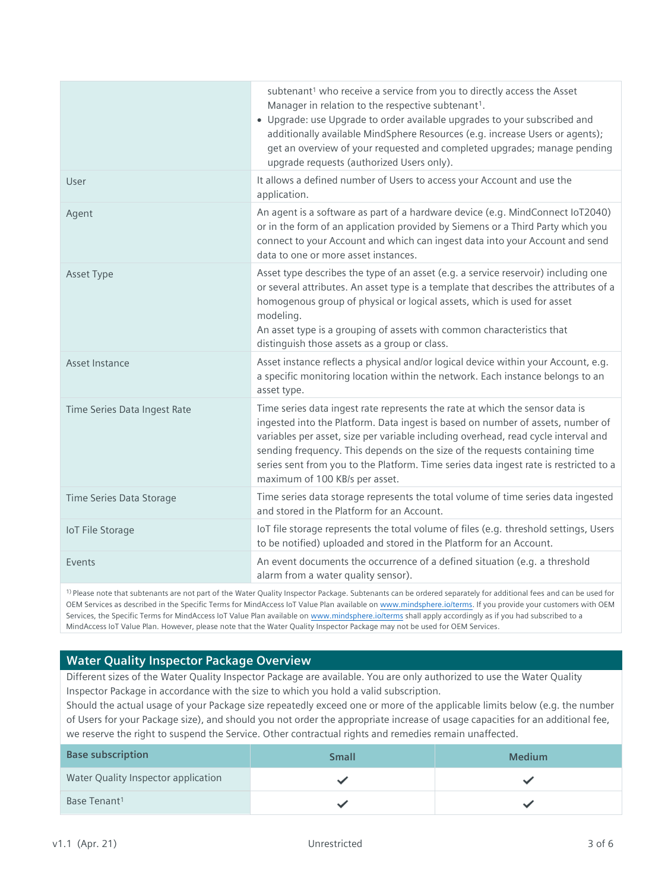|                              | subtenant <sup>1</sup> who receive a service from you to directly access the Asset<br>Manager in relation to the respective subtenant <sup>1</sup> .<br>• Upgrade: use Upgrade to order available upgrades to your subscribed and<br>additionally available MindSphere Resources (e.g. increase Users or agents);<br>get an overview of your requested and completed upgrades; manage pending<br>upgrade requests (authorized Users only).                      |
|------------------------------|-----------------------------------------------------------------------------------------------------------------------------------------------------------------------------------------------------------------------------------------------------------------------------------------------------------------------------------------------------------------------------------------------------------------------------------------------------------------|
| User                         | It allows a defined number of Users to access your Account and use the<br>application.                                                                                                                                                                                                                                                                                                                                                                          |
| Agent                        | An agent is a software as part of a hardware device (e.g. MindConnect IoT2040)<br>or in the form of an application provided by Siemens or a Third Party which you<br>connect to your Account and which can ingest data into your Account and send<br>data to one or more asset instances.                                                                                                                                                                       |
| Asset Type                   | Asset type describes the type of an asset (e.g. a service reservoir) including one<br>or several attributes. An asset type is a template that describes the attributes of a<br>homogenous group of physical or logical assets, which is used for asset<br>modeling.<br>An asset type is a grouping of assets with common characteristics that<br>distinguish those assets as a group or class.                                                                  |
| Asset Instance               | Asset instance reflects a physical and/or logical device within your Account, e.g.<br>a specific monitoring location within the network. Each instance belongs to an<br>asset type.                                                                                                                                                                                                                                                                             |
| Time Series Data Ingest Rate | Time series data ingest rate represents the rate at which the sensor data is<br>ingested into the Platform. Data ingest is based on number of assets, number of<br>variables per asset, size per variable including overhead, read cycle interval and<br>sending frequency. This depends on the size of the requests containing time<br>series sent from you to the Platform. Time series data ingest rate is restricted to a<br>maximum of 100 KB/s per asset. |
| Time Series Data Storage     | Time series data storage represents the total volume of time series data ingested<br>and stored in the Platform for an Account.                                                                                                                                                                                                                                                                                                                                 |
| <b>IoT File Storage</b>      | IoT file storage represents the total volume of files (e.g. threshold settings, Users<br>to be notified) uploaded and stored in the Platform for an Account.                                                                                                                                                                                                                                                                                                    |
| Events                       | An event documents the occurrence of a defined situation (e.g. a threshold<br>alarm from a water quality sensor).                                                                                                                                                                                                                                                                                                                                               |
|                              |                                                                                                                                                                                                                                                                                                                                                                                                                                                                 |

1) Please note that subtenants are not part of the Water Quality Inspector Package. Subtenants can be ordered separately for additional fees and can be used for OEM Services as described in the Specific Terms for MindAccess IoT Value Plan available on [www.mindsphere.io/terms.](http://www.mindsphere.io/terms) If you provide your customers with OEM Services, the Specific Terms for MindAccess IoT Value Plan available on [www.mindsphere.io/terms](http://www.mindsphere.io/terms) shall apply accordingly as if you had subscribed to a MindAccess IoT Value Plan. However, please note that the Water Quality Inspector Package may not be used for OEM Services.

## **Water Quality Inspector Package Overview**

Different sizes of the Water Quality Inspector Package are available. You are only authorized to use the Water Quality Inspector Package in accordance with the size to which you hold a valid subscription.

Should the actual usage of your Package size repeatedly exceed one or more of the applicable limits below (e.g. the number of Users for your Package size), and should you not order the appropriate increase of usage capacities for an additional fee, we reserve the right to suspend the Service. Other contractual rights and remedies remain unaffected.

| <b>Base subscription</b>            | <b>Small</b> | <b>Medium</b> |
|-------------------------------------|--------------|---------------|
| Water Quality Inspector application |              |               |
| Base Tenant <sup>1</sup>            |              |               |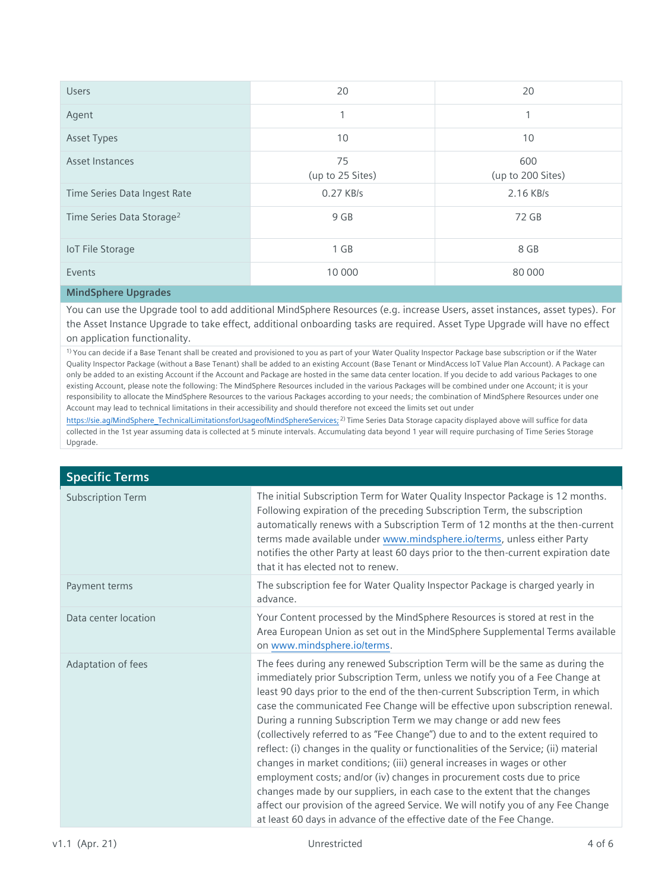| <b>Users</b>                          | 20                     | 20                       |
|---------------------------------------|------------------------|--------------------------|
| Agent                                 | 4                      | 1                        |
| <b>Asset Types</b>                    | 10                     | 10                       |
| Asset Instances                       | 75<br>(up to 25 Sites) | 600<br>(up to 200 Sites) |
| Time Series Data Ingest Rate          | 0.27 KB/s              | 2.16 KB/s                |
| Time Series Data Storage <sup>2</sup> | 9 GB                   | 72 GB                    |
| <b>IoT File Storage</b>               | $1$ GB                 | 8 GB                     |
| Events                                | 10 000                 | 80 000                   |

## **MindSphere Upgrades**

You can use the Upgrade tool to add additional MindSphere Resources (e.g. increase Users, asset instances, asset types). For the Asset Instance Upgrade to take effect, additional onboarding tasks are required. Asset Type Upgrade will have no effect on application functionality.

1) You can decide if a Base Tenant shall be created and provisioned to you as part of your Water Quality Inspector Package base subscription or if the Water Quality Inspector Package (without a Base Tenant) shall be added to an existing Account (Base Tenant or MindAccess IoT Value Plan Account). A Package can only be added to an existing Account if the Account and Package are hosted in the same data center location. If you decide to add various Packages to one existing Account, please note the following: The MindSphere Resources included in the various Packages will be combined under one Account; it is your responsibility to allocate the MindSphere Resources to the various Packages according to your needs; the combination of MindSphere Resources under one Account may lead to technical limitations in their accessibility and should therefore not exceed the limits set out under

[https://sie.ag/MindSphere\\_TechnicalLimitationsforUsageofMindSphereServices;](https://sie.ag/MindSphere_TechnicalLimitationsforUsageofMindSphereServices) <sup>2)</sup> Time Series Data Storage capacity displayed above will suffice for data collected in the 1st year assuming data is collected at 5 minute intervals. Accumulating data beyond 1 year will require purchasing of Time Series Storage Upgrade.

| <b>Specific Terms</b>    |                                                                                                                                                                                                                                                                                                                                                                                                                                                                                                                                                                                                                                                                                                                                                                                                                                                                                                                                                                                |
|--------------------------|--------------------------------------------------------------------------------------------------------------------------------------------------------------------------------------------------------------------------------------------------------------------------------------------------------------------------------------------------------------------------------------------------------------------------------------------------------------------------------------------------------------------------------------------------------------------------------------------------------------------------------------------------------------------------------------------------------------------------------------------------------------------------------------------------------------------------------------------------------------------------------------------------------------------------------------------------------------------------------|
| <b>Subscription Term</b> | The initial Subscription Term for Water Quality Inspector Package is 12 months.<br>Following expiration of the preceding Subscription Term, the subscription<br>automatically renews with a Subscription Term of 12 months at the then-current<br>terms made available under www.mindsphere.io/terms, unless either Party<br>notifies the other Party at least 60 days prior to the then-current expiration date<br>that it has elected not to renew.                                                                                                                                                                                                                                                                                                                                                                                                                                                                                                                          |
| Payment terms            | The subscription fee for Water Quality Inspector Package is charged yearly in<br>advance.                                                                                                                                                                                                                                                                                                                                                                                                                                                                                                                                                                                                                                                                                                                                                                                                                                                                                      |
| Data center location     | Your Content processed by the MindSphere Resources is stored at rest in the<br>Area European Union as set out in the MindSphere Supplemental Terms available<br>on www.mindsphere.io/terms.                                                                                                                                                                                                                                                                                                                                                                                                                                                                                                                                                                                                                                                                                                                                                                                    |
| Adaptation of fees       | The fees during any renewed Subscription Term will be the same as during the<br>immediately prior Subscription Term, unless we notify you of a Fee Change at<br>least 90 days prior to the end of the then-current Subscription Term, in which<br>case the communicated Fee Change will be effective upon subscription renewal.<br>During a running Subscription Term we may change or add new fees<br>(collectively referred to as "Fee Change") due to and to the extent required to<br>reflect: (i) changes in the quality or functionalities of the Service; (ii) material<br>changes in market conditions; (iii) general increases in wages or other<br>employment costs; and/or (iv) changes in procurement costs due to price<br>changes made by our suppliers, in each case to the extent that the changes<br>affect our provision of the agreed Service. We will notify you of any Fee Change<br>at least 60 days in advance of the effective date of the Fee Change. |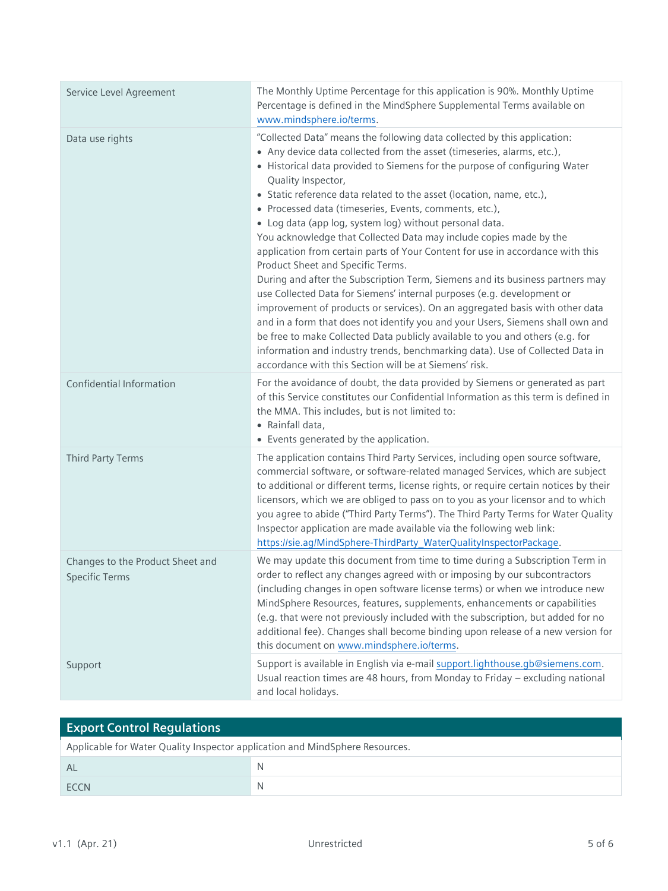| Service Level Agreement                                   | The Monthly Uptime Percentage for this application is 90%. Monthly Uptime<br>Percentage is defined in the MindSphere Supplemental Terms available on<br>www.mindsphere.io/terms.                                                                                                                                                                                                                                                                                                                                                                                                                                                                                                                                                                                                                                                                                                                                                                                                                                                                                                                                                                                                                          |
|-----------------------------------------------------------|-----------------------------------------------------------------------------------------------------------------------------------------------------------------------------------------------------------------------------------------------------------------------------------------------------------------------------------------------------------------------------------------------------------------------------------------------------------------------------------------------------------------------------------------------------------------------------------------------------------------------------------------------------------------------------------------------------------------------------------------------------------------------------------------------------------------------------------------------------------------------------------------------------------------------------------------------------------------------------------------------------------------------------------------------------------------------------------------------------------------------------------------------------------------------------------------------------------|
| Data use rights                                           | "Collected Data" means the following data collected by this application:<br>• Any device data collected from the asset (timeseries, alarms, etc.),<br>• Historical data provided to Siemens for the purpose of configuring Water<br>Quality Inspector,<br>• Static reference data related to the asset (location, name, etc.),<br>· Processed data (timeseries, Events, comments, etc.),<br>• Log data (app log, system log) without personal data.<br>You acknowledge that Collected Data may include copies made by the<br>application from certain parts of Your Content for use in accordance with this<br>Product Sheet and Specific Terms.<br>During and after the Subscription Term, Siemens and its business partners may<br>use Collected Data for Siemens' internal purposes (e.g. development or<br>improvement of products or services). On an aggregated basis with other data<br>and in a form that does not identify you and your Users, Siemens shall own and<br>be free to make Collected Data publicly available to you and others (e.g. for<br>information and industry trends, benchmarking data). Use of Collected Data in<br>accordance with this Section will be at Siemens' risk. |
| Confidential Information                                  | For the avoidance of doubt, the data provided by Siemens or generated as part<br>of this Service constitutes our Confidential Information as this term is defined in<br>the MMA. This includes, but is not limited to:<br>• Rainfall data,<br>• Events generated by the application.                                                                                                                                                                                                                                                                                                                                                                                                                                                                                                                                                                                                                                                                                                                                                                                                                                                                                                                      |
| Third Party Terms                                         | The application contains Third Party Services, including open source software,<br>commercial software, or software-related managed Services, which are subject<br>to additional or different terms, license rights, or require certain notices by their<br>licensors, which we are obliged to pass on to you as your licensor and to which<br>you agree to abide ("Third Party Terms"). The Third Party Terms for Water Quality<br>Inspector application are made available via the following web link:<br>https://sie.ag/MindSphere-ThirdParty_WaterQualityInspectorPackage.                                                                                                                                                                                                                                                                                                                                                                                                                                                                                                                                                                                                                             |
| Changes to the Product Sheet and<br><b>Specific Terms</b> | We may update this document from time to time during a Subscription Term in<br>order to reflect any changes agreed with or imposing by our subcontractors<br>(including changes in open software license terms) or when we introduce new<br>MindSphere Resources, features, supplements, enhancements or capabilities<br>(e.g. that were not previously included with the subscription, but added for no<br>additional fee). Changes shall become binding upon release of a new version for<br>this document on www.mindsphere.io/terms.                                                                                                                                                                                                                                                                                                                                                                                                                                                                                                                                                                                                                                                                  |
| Support                                                   | Support is available in English via e-mail support.lighthouse.gb@siemens.com.<br>Usual reaction times are 48 hours, from Monday to Friday - excluding national<br>and local holidays.                                                                                                                                                                                                                                                                                                                                                                                                                                                                                                                                                                                                                                                                                                                                                                                                                                                                                                                                                                                                                     |

| <b>Export Control Regulations</b>                                            |              |  |
|------------------------------------------------------------------------------|--------------|--|
| Applicable for Water Quality Inspector application and MindSphere Resources. |              |  |
| Al                                                                           | <sup>N</sup> |  |
| <b>FCCN</b>                                                                  | <sup>N</sup> |  |